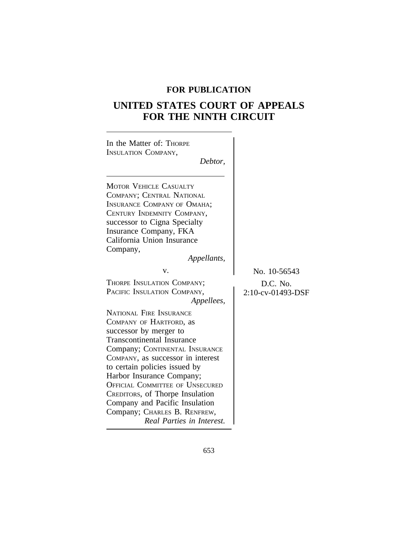## **FOR PUBLICATION**

# **UNITED STATES COURT OF APPEALS FOR THE NINTH CIRCUIT**

| In the Matter of: THORPE<br><b>INSULATION COMPANY,</b><br>Debtor,                                                                                                                                                                                                                                                                                                                                                                         |                                               |
|-------------------------------------------------------------------------------------------------------------------------------------------------------------------------------------------------------------------------------------------------------------------------------------------------------------------------------------------------------------------------------------------------------------------------------------------|-----------------------------------------------|
| <b>MOTOR VEHICLE CASUALTY</b><br>COMPANY; CENTRAL NATIONAL<br><b>INSURANCE COMPANY OF OMAHA;</b><br>CENTURY INDEMNITY COMPANY,<br>successor to Cigna Specialty<br>Insurance Company, FKA<br>California Union Insurance<br>Company,<br>Appellants,                                                                                                                                                                                         |                                               |
| v.<br>THORPE INSULATION COMPANY;<br>PACIFIC INSULATION COMPANY,<br>Appellees,                                                                                                                                                                                                                                                                                                                                                             | No. 10-56543<br>D.C. No.<br>2:10-cv-01493-DSF |
| <b>NATIONAL FIRE INSURANCE</b><br>COMPANY OF HARTFORD, as<br>successor by merger to<br><b>Transcontinental Insurance</b><br>Company; CONTINENTAL INSURANCE<br>COMPANY, as successor in interest<br>to certain policies issued by<br>Harbor Insurance Company;<br><b>OFFICIAL COMMITTEE OF UNSECURED</b><br>CREDITORS, of Thorpe Insulation<br>Company and Pacific Insulation<br>Company; CHARLES B. RENFREW,<br>Real Parties in Interest. |                                               |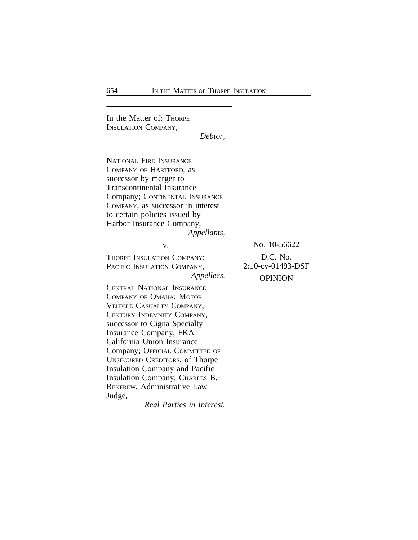In the Matter of: THORPE INSULATION COMPANY, *Debtor,* NATIONAL FIRE INSURANCE COMPANY OF HARTFORD, as successor by merger to Transcontinental Insurance Company; CONTINENTAL INSURANCE COMPANY, as successor in interest to certain policies issued by Harbor Insurance Company, *Appellants,* v. No. 10-56622 THORPE INSULATION COMPANY;<br>
PACIFIC INSULATION COMPANY, 2:10-cv-01493-DSF *Appellees,* **OPINION** CENTRAL NATIONAL INSURANCE COMPANY OF OMAHA; MOTOR VEHICLE CASUALTY COMPANY; CENTURY INDEMNITY COMPANY, successor to Cigna Specialty Insurance Company, FKA California Union Insurance Company; OFFICIAL COMMITTEE OF UNSECURED CREDITORS, of Thorpe Insulation Company and Pacific Insulation Company; CHARLES B. RENFREW, Administrative Law Judge, *Real Parties in Interest.*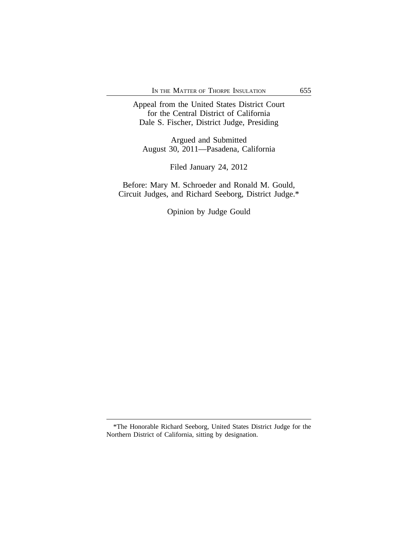Appeal from the United States District Court for the Central District of California Dale S. Fischer, District Judge, Presiding

Argued and Submitted August 30, 2011—Pasadena, California

Filed January 24, 2012

Before: Mary M. Schroeder and Ronald M. Gould, Circuit Judges, and Richard Seeborg, District Judge.\*

Opinion by Judge Gould

<sup>\*</sup>The Honorable Richard Seeborg, United States District Judge for the Northern District of California, sitting by designation.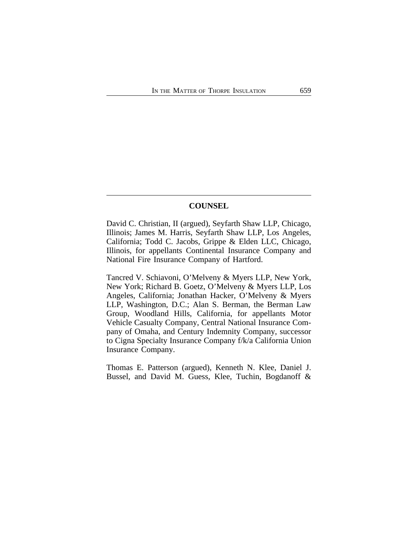## **COUNSEL**

David C. Christian, II (argued), Seyfarth Shaw LLP, Chicago, Illinois; James M. Harris, Seyfarth Shaw LLP, Los Angeles, California; Todd C. Jacobs, Grippe & Elden LLC, Chicago, Illinois, for appellants Continental Insurance Company and National Fire Insurance Company of Hartford.

Tancred V. Schiavoni, O'Melveny & Myers LLP, New York, New York; Richard B. Goetz, O'Melveny & Myers LLP, Los Angeles, California; Jonathan Hacker, O'Melveny & Myers LLP, Washington, D.C.; Alan S. Berman, the Berman Law Group, Woodland Hills, California, for appellants Motor Vehicle Casualty Company, Central National Insurance Company of Omaha, and Century Indemnity Company, successor to Cigna Specialty Insurance Company f/k/a California Union Insurance Company.

Thomas E. Patterson (argued), Kenneth N. Klee, Daniel J. Bussel, and David M. Guess, Klee, Tuchin, Bogdanoff &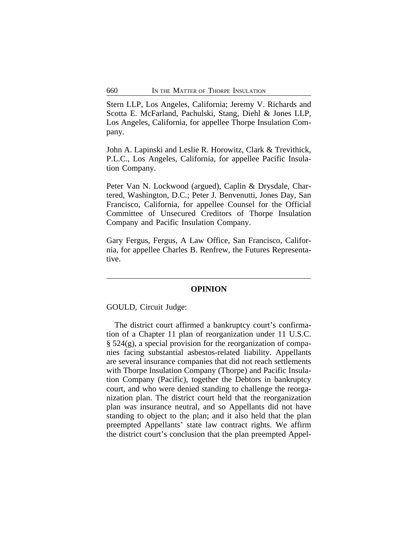Stern LLP, Los Angeles, California; Jeremy V. Richards and Scotta E. McFarland, Pachulski, Stang, Diehl & Jones LLP, Los Angeles, California, for appellee Thorpe Insulation Company.

John A. Lapinski and Leslie R. Horowitz, Clark & Trevithick, P.L.C., Los Angeles, California, for appellee Pacific Insulation Company.

Peter Van N. Lockwood (argued), Caplin & Drysdale, Chartered, Washington, D.C.; Peter J. Benvenutti, Jones Day, San Francisco, California, for appellee Counsel for the Official Committee of Unsecured Creditors of Thorpe Insulation Company and Pacific Insulation Company.

Gary Fergus, Fergus, A Law Office, San Francisco, California, for appellee Charles B. Renfrew, the Futures Representative.

#### **OPINION**

GOULD, Circuit Judge:

The district court affirmed a bankruptcy court's confirmation of a Chapter 11 plan of reorganization under 11 U.S.C. § 524(g), a special provision for the reorganization of companies facing substantial asbestos-related liability. Appellants are several insurance companies that did not reach settlements with Thorpe Insulation Company (Thorpe) and Pacific Insulation Company (Pacific), together the Debtors in bankruptcy court, and who were denied standing to challenge the reorganization plan. The district court held that the reorganization plan was insurance neutral, and so Appellants did not have standing to object to the plan; and it also held that the plan preempted Appellants' state law contract rights. We affirm the district court's conclusion that the plan preempted Appel-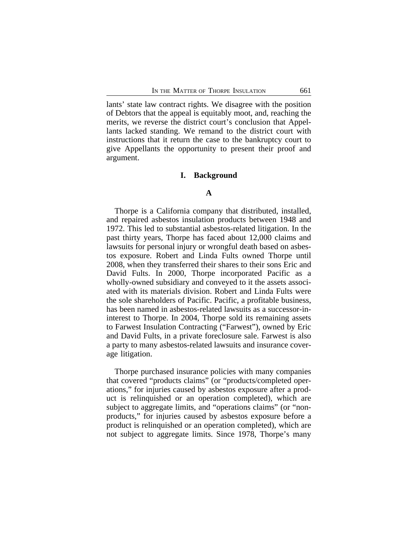lants' state law contract rights. We disagree with the position of Debtors that the appeal is equitably moot, and, reaching the merits, we reverse the district court's conclusion that Appellants lacked standing. We remand to the district court with instructions that it return the case to the bankruptcy court to give Appellants the opportunity to present their proof and argument.

#### **I. Background**

#### **A**

Thorpe is a California company that distributed, installed, and repaired asbestos insulation products between 1948 and 1972. This led to substantial asbestos-related litigation. In the past thirty years, Thorpe has faced about 12,000 claims and lawsuits for personal injury or wrongful death based on asbestos exposure. Robert and Linda Fults owned Thorpe until 2008, when they transferred their shares to their sons Eric and David Fults. In 2000, Thorpe incorporated Pacific as a wholly-owned subsidiary and conveyed to it the assets associated with its materials division. Robert and Linda Fults were the sole shareholders of Pacific. Pacific, a profitable business, has been named in asbestos-related lawsuits as a successor-ininterest to Thorpe. In 2004, Thorpe sold its remaining assets to Farwest Insulation Contracting ("Farwest"), owned by Eric and David Fults, in a private foreclosure sale. Farwest is also a party to many asbestos-related lawsuits and insurance coverage litigation.

Thorpe purchased insurance policies with many companies that covered "products claims" (or "products/completed operations," for injuries caused by asbestos exposure after a product is relinquished or an operation completed), which are subject to aggregate limits, and "operations claims" (or "nonproducts," for injuries caused by asbestos exposure before a product is relinquished or an operation completed), which are not subject to aggregate limits. Since 1978, Thorpe's many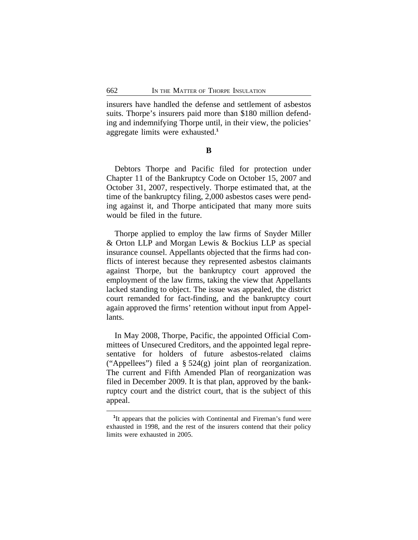insurers have handled the defense and settlement of asbestos suits. Thorpe's insurers paid more than \$180 million defending and indemnifying Thorpe until, in their view, the policies' aggregate limits were exhausted.**<sup>1</sup>**

**B**

Debtors Thorpe and Pacific filed for protection under Chapter 11 of the Bankruptcy Code on October 15, 2007 and October 31, 2007, respectively. Thorpe estimated that, at the time of the bankruptcy filing, 2,000 asbestos cases were pending against it, and Thorpe anticipated that many more suits would be filed in the future.

Thorpe applied to employ the law firms of Snyder Miller & Orton LLP and Morgan Lewis & Bockius LLP as special insurance counsel. Appellants objected that the firms had conflicts of interest because they represented asbestos claimants against Thorpe, but the bankruptcy court approved the employment of the law firms, taking the view that Appellants lacked standing to object. The issue was appealed, the district court remanded for fact-finding, and the bankruptcy court again approved the firms' retention without input from Appellants.

In May 2008, Thorpe, Pacific, the appointed Official Committees of Unsecured Creditors, and the appointed legal representative for holders of future asbestos-related claims ("Appellees") filed a § 524(g) joint plan of reorganization. The current and Fifth Amended Plan of reorganization was filed in December 2009. It is that plan, approved by the bankruptcy court and the district court, that is the subject of this appeal.

<sup>&</sup>lt;sup>1</sup>It appears that the policies with Continental and Fireman's fund were exhausted in 1998, and the rest of the insurers contend that their policy limits were exhausted in 2005.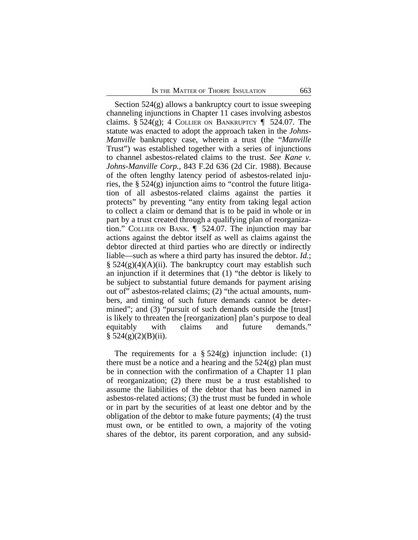Section 524(g) allows a bankruptcy court to issue sweeping channeling injunctions in Chapter 11 cases involving asbestos claims. § 524(g); 4 COLLIER ON BANKRUPTCY  $\P$  524.07. The statute was enacted to adopt the approach taken in the *Johns-Manville* bankruptcy case, wherein a trust (the "*Manville* Trust") was established together with a series of injunctions to channel asbestos-related claims to the trust. *See Kane v. Johns-Manville Corp.*, 843 F.2d 636 (2d Cir. 1988). Because of the often lengthy latency period of asbestos-related injuries, the § 524(g) injunction aims to "control the future litigation of all asbestos-related claims against the parties it protects" by preventing "any entity from taking legal action to collect a claim or demand that is to be paid in whole or in part by a trust created through a qualifying plan of reorganization." COLLIER ON BANK. ¶ 524.07. The injunction may bar actions against the debtor itself as well as claims against the debtor directed at third parties who are directly or indirectly liable—such as where a third party has insured the debtor. *Id.*;  $\S$  524(g)(4)(A)(ii). The bankruptcy court may establish such an injunction if it determines that (1) "the debtor is likely to be subject to substantial future demands for payment arising out of" asbestos-related claims; (2) "the actual amounts, numbers, and timing of such future demands cannot be determined"; and (3) "pursuit of such demands outside the [trust] is likely to threaten the [reorganization] plan's purpose to deal equitably with claims and future demands."  $§ 524(g)(2)(B)(ii).$ 

The requirements for a  $\S 524(g)$  injunction include: (1) there must be a notice and a hearing and the  $524(g)$  plan must be in connection with the confirmation of a Chapter 11 plan of reorganization; (2) there must be a trust established to assume the liabilities of the debtor that has been named in asbestos-related actions; (3) the trust must be funded in whole or in part by the securities of at least one debtor and by the obligation of the debtor to make future payments; (4) the trust must own, or be entitled to own, a majority of the voting shares of the debtor, its parent corporation, and any subsid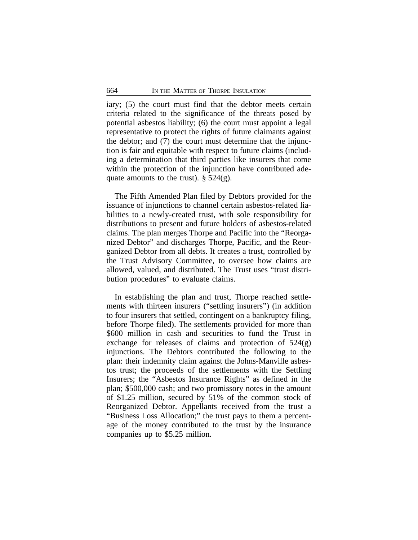iary; (5) the court must find that the debtor meets certain criteria related to the significance of the threats posed by potential asbestos liability; (6) the court must appoint a legal representative to protect the rights of future claimants against the debtor; and (7) the court must determine that the injunction is fair and equitable with respect to future claims (including a determination that third parties like insurers that come within the protection of the injunction have contributed adequate amounts to the trust).  $\S$  524(g).

The Fifth Amended Plan filed by Debtors provided for the issuance of injunctions to channel certain asbestos-related liabilities to a newly-created trust, with sole responsibility for distributions to present and future holders of asbestos-related claims. The plan merges Thorpe and Pacific into the "Reorganized Debtor" and discharges Thorpe, Pacific, and the Reorganized Debtor from all debts. It creates a trust, controlled by the Trust Advisory Committee, to oversee how claims are allowed, valued, and distributed. The Trust uses "trust distribution procedures" to evaluate claims.

In establishing the plan and trust, Thorpe reached settlements with thirteen insurers ("settling insurers") (in addition to four insurers that settled, contingent on a bankruptcy filing, before Thorpe filed). The settlements provided for more than \$600 million in cash and securities to fund the Trust in exchange for releases of claims and protection of  $524(g)$ injunctions. The Debtors contributed the following to the plan: their indemnity claim against the Johns-Manville asbestos trust; the proceeds of the settlements with the Settling Insurers; the "Asbestos Insurance Rights" as defined in the plan; \$500,000 cash; and two promissory notes in the amount of \$1.25 million, secured by 51% of the common stock of Reorganized Debtor. Appellants received from the trust a "Business Loss Allocation;" the trust pays to them a percentage of the money contributed to the trust by the insurance companies up to \$5.25 million.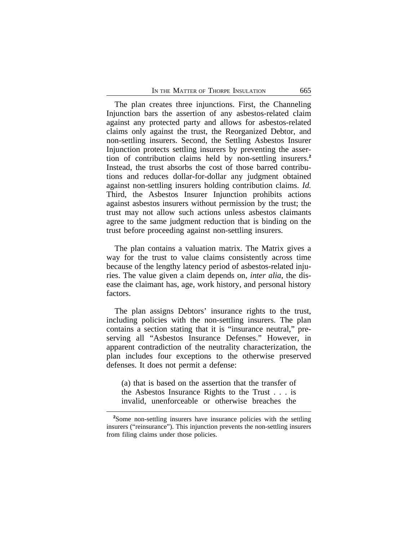The plan creates three injunctions. First, the Channeling Injunction bars the assertion of any asbestos-related claim against any protected party and allows for asbestos-related claims only against the trust, the Reorganized Debtor, and non-settling insurers. Second, the Settling Asbestos Insurer Injunction protects settling insurers by preventing the assertion of contribution claims held by non-settling insurers.**<sup>2</sup>** Instead, the trust absorbs the cost of those barred contributions and reduces dollar-for-dollar any judgment obtained against non-settling insurers holding contribution claims. *Id.* Third, the Asbestos Insurer Injunction prohibits actions against asbestos insurers without permission by the trust; the trust may not allow such actions unless asbestos claimants agree to the same judgment reduction that is binding on the trust before proceeding against non-settling insurers.

The plan contains a valuation matrix. The Matrix gives a way for the trust to value claims consistently across time because of the lengthy latency period of asbestos-related injuries. The value given a claim depends on, *inter alia*, the disease the claimant has, age, work history, and personal history factors.

The plan assigns Debtors' insurance rights to the trust, including policies with the non-settling insurers. The plan contains a section stating that it is "insurance neutral," preserving all "Asbestos Insurance Defenses." However, in apparent contradiction of the neutrality characterization, the plan includes four exceptions to the otherwise preserved defenses. It does not permit a defense:

(a) that is based on the assertion that the transfer of the Asbestos Insurance Rights to the Trust . . . is invalid, unenforceable or otherwise breaches the

**<sup>2</sup>**Some non-settling insurers have insurance policies with the settling insurers ("reinsurance"). This injunction prevents the non-settling insurers from filing claims under those policies.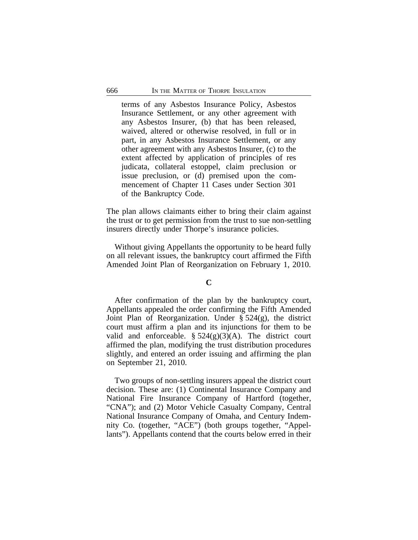terms of any Asbestos Insurance Policy, Asbestos Insurance Settlement, or any other agreement with any Asbestos Insurer, (b) that has been released, waived, altered or otherwise resolved, in full or in part, in any Asbestos Insurance Settlement, or any other agreement with any Asbestos Insurer, (c) to the extent affected by application of principles of res judicata, collateral estoppel, claim preclusion or issue preclusion, or (d) premised upon the commencement of Chapter 11 Cases under Section 301 of the Bankruptcy Code.

The plan allows claimants either to bring their claim against the trust or to get permission from the trust to sue non-settling insurers directly under Thorpe's insurance policies.

Without giving Appellants the opportunity to be heard fully on all relevant issues, the bankruptcy court affirmed the Fifth Amended Joint Plan of Reorganization on February 1, 2010.

#### **C**

After confirmation of the plan by the bankruptcy court, Appellants appealed the order confirming the Fifth Amended Joint Plan of Reorganization. Under § 524(g), the district court must affirm a plan and its injunctions for them to be valid and enforceable.  $\S$  524(g)(3)(A). The district court affirmed the plan, modifying the trust distribution procedures slightly, and entered an order issuing and affirming the plan on September 21, 2010.

Two groups of non-settling insurers appeal the district court decision. These are: (1) Continental Insurance Company and National Fire Insurance Company of Hartford (together, "CNA"); and (2) Motor Vehicle Casualty Company, Central National Insurance Company of Omaha, and Century Indemnity Co. (together, "ACE") (both groups together, "Appellants"). Appellants contend that the courts below erred in their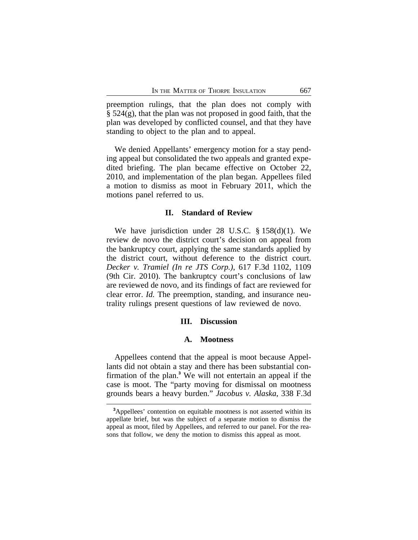preemption rulings, that the plan does not comply with  $\S$  524(g), that the plan was not proposed in good faith, that the plan was developed by conflicted counsel, and that they have standing to object to the plan and to appeal.

We denied Appellants' emergency motion for a stay pending appeal but consolidated the two appeals and granted expedited briefing. The plan became effective on October 22, 2010, and implementation of the plan began. Appellees filed a motion to dismiss as moot in February 2011, which the motions panel referred to us.

#### **II. Standard of Review**

We have jurisdiction under 28 U.S.C. § 158(d)(1). We review de novo the district court's decision on appeal from the bankruptcy court, applying the same standards applied by the district court, without deference to the district court. *Decker v. Tramiel (In re JTS Corp.)*, 617 F.3d 1102, 1109 (9th Cir. 2010). The bankruptcy court's conclusions of law are reviewed de novo, and its findings of fact are reviewed for clear error. *Id.* The preemption, standing, and insurance neutrality rulings present questions of law reviewed de novo.

#### **III. Discussion**

#### **A. Mootness**

Appellees contend that the appeal is moot because Appellants did not obtain a stay and there has been substantial confirmation of the plan.**<sup>3</sup>** We will not entertain an appeal if the case is moot. The "party moving for dismissal on mootness grounds bears a heavy burden." *Jacobus v. Alaska*, 338 F.3d

**<sup>3</sup>**Appellees' contention on equitable mootness is not asserted within its appellate brief, but was the subject of a separate motion to dismiss the appeal as moot, filed by Appellees, and referred to our panel. For the reasons that follow, we deny the motion to dismiss this appeal as moot.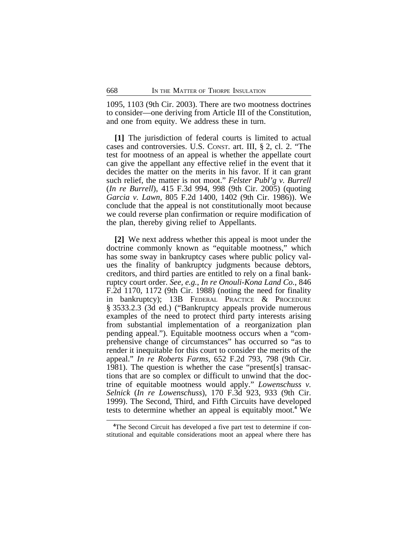1095, 1103 (9th Cir. 2003). There are two mootness doctrines to consider—one deriving from Article III of the Constitution, and one from equity. We address these in turn.

**[1]** The jurisdiction of federal courts is limited to actual cases and controversies. U.S. CONST. art. III, § 2, cl. 2. "The test for mootness of an appeal is whether the appellate court can give the appellant any effective relief in the event that it decides the matter on the merits in his favor. If it can grant such relief, the matter is not moot." *Felster Publ'g v. Burrell* (*In re Burrell*), 415 F.3d 994, 998 (9th Cir. 2005) (quoting *Garcia v. Lawn*, 805 F.2d 1400, 1402 (9th Cir. 1986)). We conclude that the appeal is not constitutionally moot because we could reverse plan confirmation or require modification of the plan, thereby giving relief to Appellants.

**[2]** We next address whether this appeal is moot under the doctrine commonly known as "equitable mootness," which has some sway in bankruptcy cases where public policy values the finality of bankruptcy judgments because debtors, creditors, and third parties are entitled to rely on a final bankruptcy court order. *See, e.g.*, *In re Onouli-Kona Land Co.*, 846 F.2d 1170, 1172 (9th Cir. 1988) (noting the need for finality in bankruptcy); 13B FEDERAL PRACTICE & PROCEDURE § 3533.2.3 (3d ed.) ("Bankruptcy appeals provide numerous examples of the need to protect third party interests arising from substantial implementation of a reorganization plan pending appeal."). Equitable mootness occurs when a "comprehensive change of circumstances" has occurred so "as to render it inequitable for this court to consider the merits of the appeal." *In re Roberts Farms*, 652 F.2d 793, 798 (9th Cir. 1981). The question is whether the case "present[s] transactions that are so complex or difficult to unwind that the doctrine of equitable mootness would apply." *Lowenschuss v. Selnick* (*In re Lowenschuss*), 170 F.3d 923, 933 (9th Cir. 1999). The Second, Third, and Fifth Circuits have developed tests to determine whether an appeal is equitably moot.**<sup>4</sup>** We

**<sup>4</sup>**The Second Circuit has developed a five part test to determine if constitutional and equitable considerations moot an appeal where there has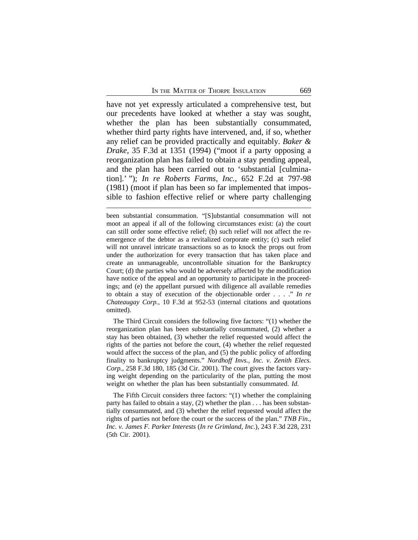have not yet expressly articulated a comprehensive test, but our precedents have looked at whether a stay was sought, whether the plan has been substantially consummated, whether third party rights have intervened, and, if so, whether any relief can be provided practically and equitably. *Baker & Drake*, 35 F.3d at 1351 (1994) ("moot if a party opposing a reorganization plan has failed to obtain a stay pending appeal, and the plan has been carried out to 'substantial [culmination].' "); *In re Roberts Farms, Inc.*, 652 F.2d at 797-98 (1981) (moot if plan has been so far implemented that impossible to fashion effective relief or where party challenging

been substantial consummation. "[S]ubstantial consummation will not moot an appeal if all of the following circumstances exist: (a) the court can still order some effective relief; (b) such relief will not affect the reemergence of the debtor as a revitalized corporate entity; (c) such relief will not unravel intricate transactions so as to knock the props out from under the authorization for every transaction that has taken place and create an unmanageable, uncontrollable situation for the Bankruptcy Court; (d) the parties who would be adversely affected by the modification have notice of the appeal and an opportunity to participate in the proceedings; and (e) the appellant pursued with diligence all available remedies to obtain a stay of execution of the objectionable order . . . ." *In re Chateaugay Corp.*, 10 F.3d at 952-53 (internal citations and quotations omitted).

The Third Circuit considers the following five factors: "(1) whether the reorganization plan has been substantially consummated, (2) whether a stay has been obtained, (3) whether the relief requested would affect the rights of the parties not before the court, (4) whether the relief requested would affect the success of the plan, and (5) the public policy of affording finality to bankruptcy judgments." *Nordhoff Invs., Inc. v. Zenith Elecs. Corp.*, 258 F.3d 180, 185 (3d Cir. 2001). The court gives the factors varying weight depending on the particularity of the plan, putting the most weight on whether the plan has been substantially consummated. *Id.*

The Fifth Circuit considers three factors: "(1) whether the complaining party has failed to obtain a stay, (2) whether the plan . . . has been substantially consummated, and (3) whether the relief requested would affect the rights of parties not before the court or the success of the plan." *TNB Fin., Inc. v. James F. Parker Interests* (*In re Grimland, Inc.*), 243 F.3d 228, 231 (5th Cir. 2001).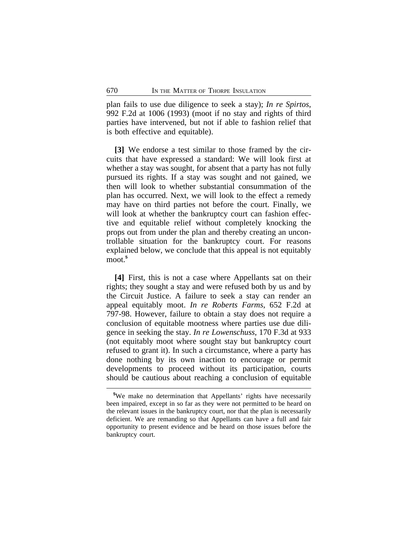plan fails to use due diligence to seek a stay); *In re Spirtos*, 992 F.2d at 1006 (1993) (moot if no stay and rights of third parties have intervened, but not if able to fashion relief that is both effective and equitable).

**[3]** We endorse a test similar to those framed by the circuits that have expressed a standard: We will look first at whether a stay was sought, for absent that a party has not fully pursued its rights. If a stay was sought and not gained, we then will look to whether substantial consummation of the plan has occurred. Next, we will look to the effect a remedy may have on third parties not before the court. Finally, we will look at whether the bankruptcy court can fashion effective and equitable relief without completely knocking the props out from under the plan and thereby creating an uncontrollable situation for the bankruptcy court. For reasons explained below, we conclude that this appeal is not equitably moot.**<sup>5</sup>**

**[4]** First, this is not a case where Appellants sat on their rights; they sought a stay and were refused both by us and by the Circuit Justice. A failure to seek a stay can render an appeal equitably moot. *In re Roberts Farms*, 652 F.2d at 797-98. However, failure to obtain a stay does not require a conclusion of equitable mootness where parties use due diligence in seeking the stay. *In re Lowenschuss*, 170 F.3d at 933 (not equitably moot where sought stay but bankruptcy court refused to grant it). In such a circumstance, where a party has done nothing by its own inaction to encourage or permit developments to proceed without its participation, courts should be cautious about reaching a conclusion of equitable

**<sup>5</sup>**We make no determination that Appellants' rights have necessarily been impaired, except in so far as they were not permitted to be heard on the relevant issues in the bankruptcy court, nor that the plan is necessarily deficient. We are remanding so that Appellants can have a full and fair opportunity to present evidence and be heard on those issues before the bankruptcy court.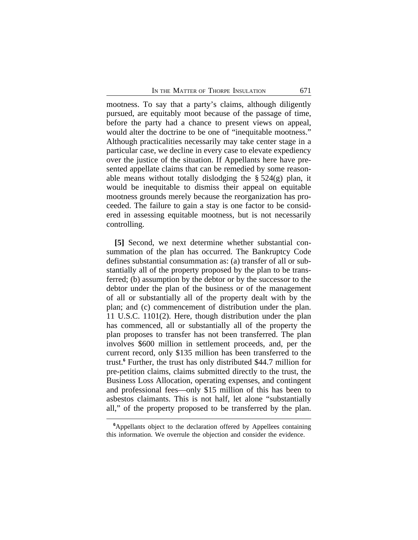mootness. To say that a party's claims, although diligently pursued, are equitably moot because of the passage of time, before the party had a chance to present views on appeal, would alter the doctrine to be one of "inequitable mootness." Although practicalities necessarily may take center stage in a particular case, we decline in every case to elevate expediency over the justice of the situation. If Appellants here have presented appellate claims that can be remedied by some reasonable means without totally dislodging the  $\S 524(g)$  plan, it would be inequitable to dismiss their appeal on equitable mootness grounds merely because the reorganization has proceeded. The failure to gain a stay is one factor to be considered in assessing equitable mootness, but is not necessarily controlling.

**[5]** Second, we next determine whether substantial consummation of the plan has occurred. The Bankruptcy Code defines substantial consummation as: (a) transfer of all or substantially all of the property proposed by the plan to be transferred; (b) assumption by the debtor or by the successor to the debtor under the plan of the business or of the management of all or substantially all of the property dealt with by the plan; and (c) commencement of distribution under the plan. 11 U.S.C. 1101(2). Here, though distribution under the plan has commenced, all or substantially all of the property the plan proposes to transfer has not been transferred. The plan involves \$600 million in settlement proceeds, and, per the current record, only \$135 million has been transferred to the trust.**<sup>6</sup>** Further, the trust has only distributed \$44.7 million for pre-petition claims, claims submitted directly to the trust, the Business Loss Allocation, operating expenses, and contingent and professional fees—only \$15 million of this has been to asbestos claimants. This is not half, let alone "substantially all," of the property proposed to be transferred by the plan.

**<sup>6</sup>**Appellants object to the declaration offered by Appellees containing this information. We overrule the objection and consider the evidence.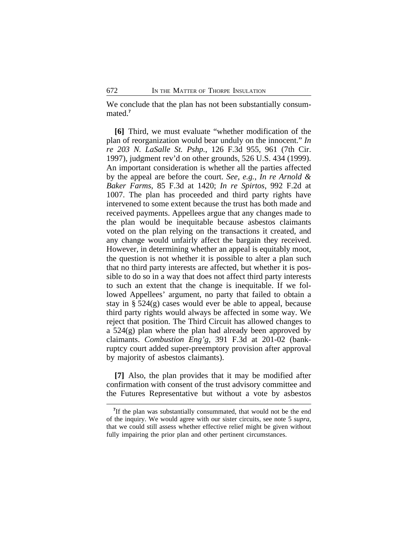We conclude that the plan has not been substantially consummated.**<sup>7</sup>**

**[6]** Third, we must evaluate "whether modification of the plan of reorganization would bear unduly on the innocent." *In re 203 N. LaSalle St. Pshp.*, 126 F.3d 955, 961 (7th Cir. 1997), judgment rev'd on other grounds, 526 U.S. 434 (1999). An important consideration is whether all the parties affected by the appeal are before the court. *See, e.g.*, *In re Arnold & Baker Farms*, 85 F.3d at 1420; *In re Spirtos*, 992 F.2d at 1007. The plan has proceeded and third party rights have intervened to some extent because the trust has both made and received payments. Appellees argue that any changes made to the plan would be inequitable because asbestos claimants voted on the plan relying on the transactions it created, and any change would unfairly affect the bargain they received. However, in determining whether an appeal is equitably moot, the question is not whether it is possible to alter a plan such that no third party interests are affected, but whether it is possible to do so in a way that does not affect third party interests to such an extent that the change is inequitable. If we followed Appellees' argument, no party that failed to obtain a stay in  $\S 524(g)$  cases would ever be able to appeal, because third party rights would always be affected in some way. We reject that position. The Third Circuit has allowed changes to a  $524(g)$  plan where the plan had already been approved by claimants. *Combustion Eng'g*, 391 F.3d at 201-02 (bankruptcy court added super-preemptory provision after approval by majority of asbestos claimants).

**[7]** Also, the plan provides that it may be modified after confirmation with consent of the trust advisory committee and the Futures Representative but without a vote by asbestos

<sup>&</sup>lt;sup>7</sup>If the plan was substantially consummated, that would not be the end of the inquiry. We would agree with our sister circuits, see note 5 *supra*, that we could still assess whether effective relief might be given without fully impairing the prior plan and other pertinent circumstances.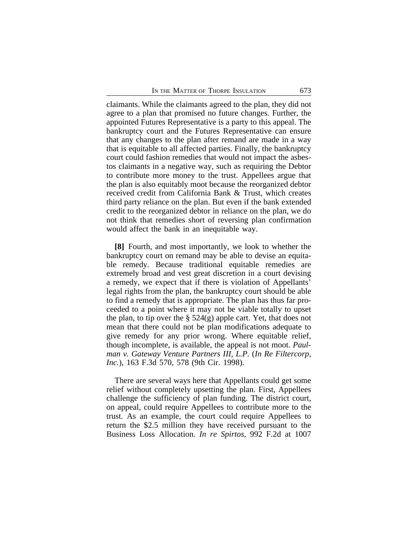claimants. While the claimants agreed to the plan, they did not agree to a plan that promised no future changes. Further, the appointed Futures Representative is a party to this appeal. The bankruptcy court and the Futures Representative can ensure that any changes to the plan after remand are made in a way that is equitable to all affected parties. Finally, the bankruptcy court could fashion remedies that would not impact the asbestos claimants in a negative way, such as requiring the Debtor to contribute more money to the trust. Appellees argue that the plan is also equitably moot because the reorganized debtor received credit from California Bank & Trust, which creates third party reliance on the plan. But even if the bank extended credit to the reorganized debtor in reliance on the plan, we do not think that remedies short of reversing plan confirmation would affect the bank in an inequitable way.

**[8]** Fourth, and most importantly, we look to whether the bankruptcy court on remand may be able to devise an equitable remedy. Because traditional equitable remedies are extremely broad and vest great discretion in a court devising a remedy, we expect that if there is violation of Appellants' legal rights from the plan, the bankruptcy court should be able to find a remedy that is appropriate. The plan has thus far proceeded to a point where it may not be viable totally to upset the plan, to tip over the  $\S$  524(g) apple cart. Yet, that does not mean that there could not be plan modifications adequate to give remedy for any prior wrong. Where equitable relief, though incomplete, is available, the appeal is not moot. *Paulman v. Gateway Venture Partners III, L.P.* (*In Re Filtercorp, Inc.*), 163 F.3d 570, 578 (9th Cir. 1998).

There are several ways here that Appellants could get some relief without completely upsetting the plan. First, Appellees challenge the sufficiency of plan funding. The district court, on appeal, could require Appellees to contribute more to the trust. As an example, the court could require Appellees to return the \$2.5 million they have received pursuant to the Business Loss Allocation. *In re Spirtos*, 992 F.2d at 1007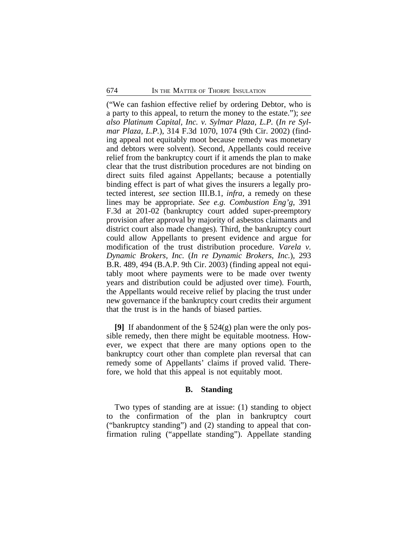("We can fashion effective relief by ordering Debtor, who is a party to this appeal, to return the money to the estate."); *see also Platinum Capital, Inc. v. Sylmar Plaza, L.P.* (*In re Sylmar Plaza, L.P.*), 314 F.3d 1070, 1074 (9th Cir. 2002) (finding appeal not equitably moot because remedy was monetary and debtors were solvent). Second, Appellants could receive relief from the bankruptcy court if it amends the plan to make clear that the trust distribution procedures are not binding on direct suits filed against Appellants; because a potentially binding effect is part of what gives the insurers a legally protected interest, *see* section III.B.1, *infra*, a remedy on these lines may be appropriate. *See e.g. Combustion Eng'g*, 391 F.3d at 201-02 (bankruptcy court added super-preemptory provision after approval by majority of asbestos claimants and district court also made changes)*.* Third, the bankruptcy court could allow Appellants to present evidence and argue for modification of the trust distribution procedure. *Varela v. Dynamic Brokers, Inc.* (*In re Dynamic Brokers, Inc.*), 293 B.R. 489, 494 (B.A.P. 9th Cir. 2003) (finding appeal not equitably moot where payments were to be made over twenty years and distribution could be adjusted over time). Fourth, the Appellants would receive relief by placing the trust under new governance if the bankruptcy court credits their argument that the trust is in the hands of biased parties.

**[9]** If abandonment of the § 524(g) plan were the only possible remedy, then there might be equitable mootness. However, we expect that there are many options open to the bankruptcy court other than complete plan reversal that can remedy some of Appellants' claims if proved valid. Therefore, we hold that this appeal is not equitably moot.

## **B. Standing**

Two types of standing are at issue: (1) standing to object to the confirmation of the plan in bankruptcy court ("bankruptcy standing") and (2) standing to appeal that confirmation ruling ("appellate standing"). Appellate standing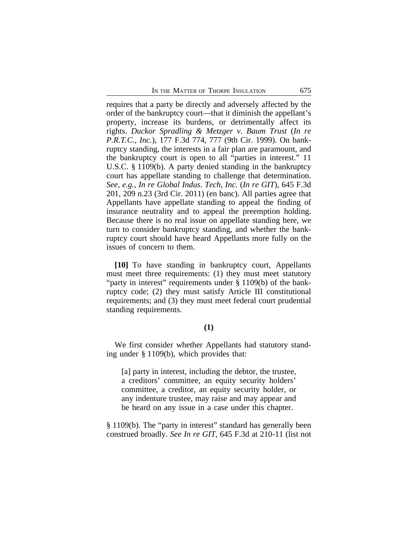requires that a party be directly and adversely affected by the order of the bankruptcy court—that it diminish the appellant's property, increase its burdens, or detrimentally affect its rights. *Duckor Spradling & Metzger v. Baum Trust* (*In re P.R.T.C., Inc.*), 177 F.3d 774, 777 (9th Cir. 1999). On bankruptcy standing, the interests in a fair plan are paramount, and the bankruptcy court is open to all "parties in interest." 11 U.S.C. § 1109(b). A party denied standing in the bankruptcy court has appellate standing to challenge that determination. *See, e.g.*, *In re Global Indus. Tech, Inc.* (*In re GIT*), 645 F.3d 201, 209 n.23 (3rd Cir. 2011) (en banc). All parties agree that Appellants have appellate standing to appeal the finding of insurance neutrality and to appeal the preemption holding. Because there is no real issue on appellate standing here, we turn to consider bankruptcy standing, and whether the bankruptcy court should have heard Appellants more fully on the issues of concern to them.

**[10]** To have standing in bankruptcy court, Appellants must meet three requirements: (1) they must meet statutory "party in interest" requirements under § 1109(b) of the bankruptcy code; (2) they must satisfy Article III constitutional requirements; and (3) they must meet federal court prudential standing requirements.

## **(1)**

We first consider whether Appellants had statutory standing under § 1109(b), which provides that:

[a] party in interest, including the debtor, the trustee, a creditors' committee, an equity security holders' committee, a creditor, an equity security holder, or any indenture trustee, may raise and may appear and be heard on any issue in a case under this chapter.

§ 1109(b). The "party in interest" standard has generally been construed broadly. *See In re GIT*, 645 F.3d at 210-11 (list not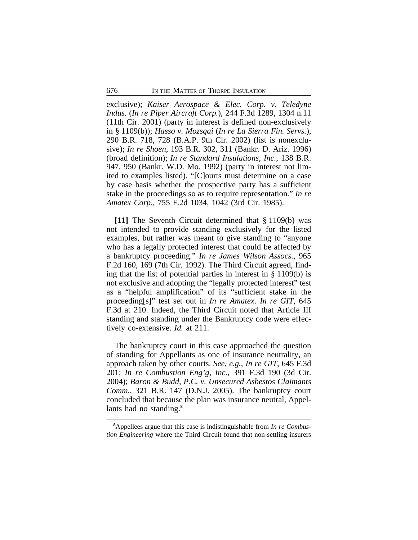exclusive); *Kaiser Aerospace & Elec. Corp. v. Teledyne Indus.* (*In re Piper Aircraft Corp.*), 244 F.3d 1289, 1304 n.11 (11th Cir. 2001) (party in interest is defined non-exclusively in § 1109(b)); *Hasso v. Mozsgai* (*In re La Sierra Fin. Servs.*), 290 B.R. 718, 728 (B.A.P. 9th Cir. 2002) (list is nonexclusive); *In re Shoen*, 193 B.R. 302, 311 (Bankr. D. Ariz. 1996) (broad definition); *In re Standard Insulations, Inc.*, 138 B.R. 947, 950 (Bankr. W.D. Mo. 1992) (party in interest not limited to examples listed). "[C]ourts must determine on a case by case basis whether the prospective party has a sufficient stake in the proceedings so as to require representation." *In re Amatex Corp.*, 755 F.2d 1034, 1042 (3rd Cir. 1985).

**[11]** The Seventh Circuit determined that § 1109(b) was not intended to provide standing exclusively for the listed examples, but rather was meant to give standing to "anyone who has a legally protected interest that could be affected by a bankruptcy proceeding." *In re James Wilson Assocs.*, 965 F.2d 160, 169 (7th Cir. 1992). The Third Circuit agreed, finding that the list of potential parties in interest in § 1109(b) is not exclusive and adopting the "legally protected interest" test as a "helpful amplification" of its "sufficient stake in the proceeding[s]" test set out in *In re Amatex*. *In re GIT*, 645 F.3d at 210. Indeed, the Third Circuit noted that Article III standing and standing under the Bankruptcy code were effectively co-extensive. *Id.* at 211.

The bankruptcy court in this case approached the question of standing for Appellants as one of insurance neutrality, an approach taken by other courts. *See, e.g.*, *In re GIT*, 645 F.3d 201; *In re Combustion Eng'g, Inc.*, 391 F.3d 190 (3d Cir. 2004); *Baron & Budd, P.C. v. Unsecured Asbestos Claimants Comm.*, 321 B.R. 147 (D.N.J. 2005). The bankruptcy court concluded that because the plan was insurance neutral, Appellants had no standing.**<sup>8</sup>**

**<sup>8</sup>**Appellees argue that this case is indistinguishable from *In re Combustion Engineering* where the Third Circuit found that non-settling insurers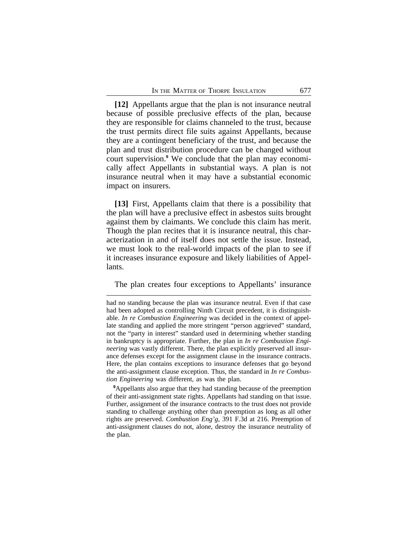**[12]** Appellants argue that the plan is not insurance neutral because of possible preclusive effects of the plan, because they are responsible for claims channeled to the trust, because the trust permits direct file suits against Appellants, because they are a contingent beneficiary of the trust, and because the plan and trust distribution procedure can be changed without court supervision.**<sup>9</sup>** We conclude that the plan may economically affect Appellants in substantial ways. A plan is not insurance neutral when it may have a substantial economic impact on insurers.

**[13]** First, Appellants claim that there is a possibility that the plan will have a preclusive effect in asbestos suits brought against them by claimants. We conclude this claim has merit. Though the plan recites that it is insurance neutral, this characterization in and of itself does not settle the issue. Instead, we must look to the real-world impacts of the plan to see if it increases insurance exposure and likely liabilities of Appellants.

The plan creates four exceptions to Appellants' insurance

**<sup>9</sup>**Appellants also argue that they had standing because of the preemption of their anti-assignment state rights. Appellants had standing on that issue. Further, assignment of the insurance contracts to the trust does not provide standing to challenge anything other than preemption as long as all other rights are preserved. *Combustion Eng'g*, 391 F.3d at 216. Preemption of anti-assignment clauses do not, alone, destroy the insurance neutrality of the plan.

had no standing because the plan was insurance neutral. Even if that case had been adopted as controlling Ninth Circuit precedent, it is distinguishable. *In re Combustion Engineering* was decided in the context of appellate standing and applied the more stringent "person aggrieved" standard, not the "party in interest" standard used in determining whether standing in bankruptcy is appropriate. Further, the plan in *In re Combustion Engineering* was vastly different. There, the plan explicitly preserved all insurance defenses except for the assignment clause in the insurance contracts. Here, the plan contains exceptions to insurance defenses that go beyond the anti-assignment clause exception. Thus, the standard in *In re Combustion Engineering* was different, as was the plan.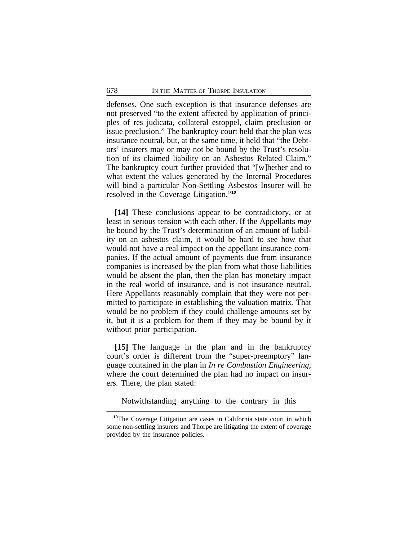defenses. One such exception is that insurance defenses are not preserved "to the extent affected by application of principles of res judicata, collateral estoppel, claim preclusion or issue preclusion." The bankruptcy court held that the plan was insurance neutral, but, at the same time, it held that "the Debtors' insurers may or may not be bound by the Trust's resolution of its claimed liability on an Asbestos Related Claim." The bankruptcy court further provided that "[w]hether and to what extent the values generated by the Internal Procedures will bind a particular Non-Settling Asbestos Insurer will be resolved in the Coverage Litigation." **10**

**[14]** These conclusions appear to be contradictory, or at least in serious tension with each other. If the Appellants *may* be bound by the Trust's determination of an amount of liability on an asbestos claim, it would be hard to see how that would not have a real impact on the appellant insurance companies. If the actual amount of payments due from insurance companies is increased by the plan from what those liabilities would be absent the plan, then the plan has monetary impact in the real world of insurance, and is not insurance neutral. Here Appellants reasonably complain that they were not permitted to participate in establishing the valuation matrix. That would be no problem if they could challenge amounts set by it, but it is a problem for them if they may be bound by it without prior participation.

**[15]** The language in the plan and in the bankruptcy court's order is different from the "super-preemptory" language contained in the plan in *In re Combustion Engineering*, where the court determined the plan had no impact on insurers. There, the plan stated:

Notwithstanding anything to the contrary in this

**<sup>10</sup>**The Coverage Litigation are cases in California state court in which some non-settling insurers and Thorpe are litigating the extent of coverage provided by the insurance policies.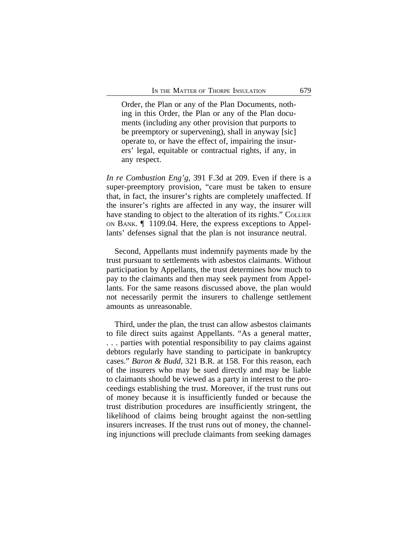Order, the Plan or any of the Plan Documents, nothing in this Order, the Plan or any of the Plan documents (including any other provision that purports to be preemptory or supervening), shall in anyway [sic] operate to, or have the effect of, impairing the insurers' legal, equitable or contractual rights, if any, in any respect.

*In re Combustion Eng'g*, 391 F.3d at 209. Even if there is a super-preemptory provision, "care must be taken to ensure that, in fact, the insurer's rights are completely unaffected. If the insurer's rights are affected in any way, the insurer will have standing to object to the alteration of its rights." COLLIER ON BANK. ¶ 1109.04. Here, the express exceptions to Appellants' defenses signal that the plan is not insurance neutral.

Second, Appellants must indemnify payments made by the trust pursuant to settlements with asbestos claimants. Without participation by Appellants, the trust determines how much to pay to the claimants and then may seek payment from Appellants. For the same reasons discussed above, the plan would not necessarily permit the insurers to challenge settlement amounts as unreasonable.

Third, under the plan, the trust can allow asbestos claimants to file direct suits against Appellants. "As a general matter, . . . parties with potential responsibility to pay claims against debtors regularly have standing to participate in bankruptcy cases." *Baron & Budd*, 321 B.R. at 158. For this reason, each of the insurers who may be sued directly and may be liable to claimants should be viewed as a party in interest to the proceedings establishing the trust. Moreover, if the trust runs out of money because it is insufficiently funded or because the trust distribution procedures are insufficiently stringent, the likelihood of claims being brought against the non-settling insurers increases. If the trust runs out of money, the channeling injunctions will preclude claimants from seeking damages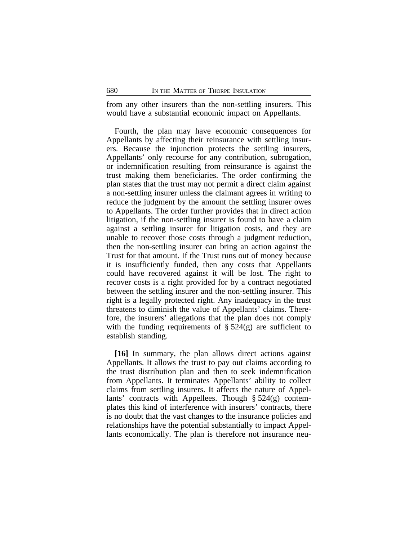from any other insurers than the non-settling insurers. This would have a substantial economic impact on Appellants.

Fourth, the plan may have economic consequences for Appellants by affecting their reinsurance with settling insurers. Because the injunction protects the settling insurers, Appellants' only recourse for any contribution, subrogation, or indemnification resulting from reinsurance is against the trust making them beneficiaries. The order confirming the plan states that the trust may not permit a direct claim against a non-settling insurer unless the claimant agrees in writing to reduce the judgment by the amount the settling insurer owes to Appellants. The order further provides that in direct action litigation, if the non-settling insurer is found to have a claim against a settling insurer for litigation costs, and they are unable to recover those costs through a judgment reduction, then the non-settling insurer can bring an action against the Trust for that amount. If the Trust runs out of money because it is insufficiently funded, then any costs that Appellants could have recovered against it will be lost. The right to recover costs is a right provided for by a contract negotiated between the settling insurer and the non-settling insurer. This right is a legally protected right. Any inadequacy in the trust threatens to diminish the value of Appellants' claims. Therefore, the insurers' allegations that the plan does not comply with the funding requirements of  $\S 524(g)$  are sufficient to establish standing.

**[16]** In summary, the plan allows direct actions against Appellants. It allows the trust to pay out claims according to the trust distribution plan and then to seek indemnification from Appellants. It terminates Appellants' ability to collect claims from settling insurers. It affects the nature of Appellants' contracts with Appellees. Though § 524(g) contemplates this kind of interference with insurers' contracts, there is no doubt that the vast changes to the insurance policies and relationships have the potential substantially to impact Appellants economically. The plan is therefore not insurance neu-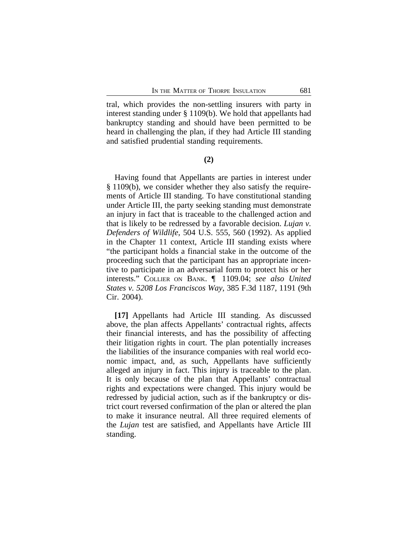tral, which provides the non-settling insurers with party in interest standing under § 1109(b). We hold that appellants had bankruptcy standing and should have been permitted to be heard in challenging the plan, if they had Article III standing and satisfied prudential standing requirements.

## **(2)**

Having found that Appellants are parties in interest under § 1109(b), we consider whether they also satisfy the requirements of Article III standing. To have constitutional standing under Article III, the party seeking standing must demonstrate an injury in fact that is traceable to the challenged action and that is likely to be redressed by a favorable decision. *Lujan v. Defenders of Wildlife*, 504 U.S. 555, 560 (1992). As applied in the Chapter 11 context, Article III standing exists where "the participant holds a financial stake in the outcome of the proceeding such that the participant has an appropriate incentive to participate in an adversarial form to protect his or her interests." COLLIER ON BANK. ¶ 1109.04; *see also United States v. 5208 Los Franciscos Way*, 385 F.3d 1187, 1191 (9th Cir. 2004).

**[17]** Appellants had Article III standing. As discussed above, the plan affects Appellants' contractual rights, affects their financial interests, and has the possibility of affecting their litigation rights in court. The plan potentially increases the liabilities of the insurance companies with real world economic impact, and, as such, Appellants have sufficiently alleged an injury in fact. This injury is traceable to the plan. It is only because of the plan that Appellants' contractual rights and expectations were changed. This injury would be redressed by judicial action, such as if the bankruptcy or district court reversed confirmation of the plan or altered the plan to make it insurance neutral. All three required elements of the *Lujan* test are satisfied, and Appellants have Article III standing.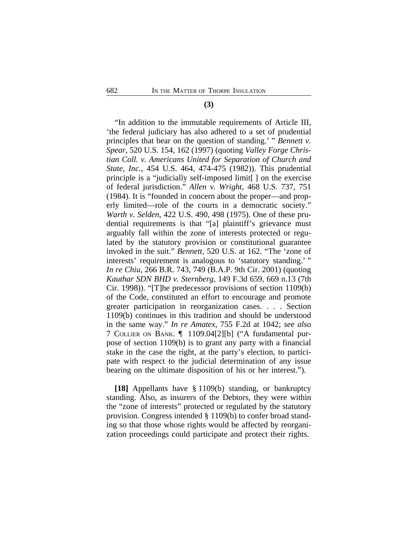#### **(3)**

"In addition to the immutable requirements of Article III, 'the federal judiciary has also adhered to a set of prudential principles that bear on the question of standing.' " *Bennett v. Spear*, 520 U.S. 154, 162 (1997) (quoting *Valley Forge Christian Coll. v. Americans United for Separation of Church and State, Inc.*, 454 U.S. 464, 474-475 (1982)). This prudential principle is a "judicially self-imposed limit[ ] on the exercise of federal jurisdiction." *Allen v. Wright*, 468 U.S. 737, 751 (1984). It is "founded in concern about the proper—and properly limited—role of the courts in a democratic society." *Warth v. Selden*, 422 U.S. 490, 498 (1975). One of these prudential requirements is that "[a] plaintiff's grievance must arguably fall within the zone of interests protected or regulated by the statutory provision or constitutional guarantee invoked in the suit." *Bennett*, 520 U.S. at 162. "The 'zone of interests' requirement is analogous to 'statutory standing.' " *In re Chiu*, 266 B.R. 743, 749 (B.A.P. 9th Cir. 2001) (quoting *Kauthar SDN BHD v. Sternberg*, 149 F.3d 659, 669 n.13 (7th Cir. 1998)). "[T]he predecessor provisions of section 1109(b) of the Code, constituted an effort to encourage and promote greater participation in reorganization cases. . . . Section 1109(b) continues in this tradition and should be understood in the same way." *In re Amatex*, 755 F.2d at 1042; *see also* 7 COLLIER ON BANK. ¶ 1109.04[2][b] ("A fundamental purpose of section 1109(b) is to grant any party with a financial stake in the case the right, at the party's election, to participate with respect to the judicial determination of any issue bearing on the ultimate disposition of his or her interest.").

**[18]** Appellants have § 1109(b) standing, or bankruptcy standing. Also, as insurers of the Debtors, they were within the "zone of interests" protected or regulated by the statutory provision. Congress intended § 1109(b) to confer broad standing so that those whose rights would be affected by reorganization proceedings could participate and protect their rights.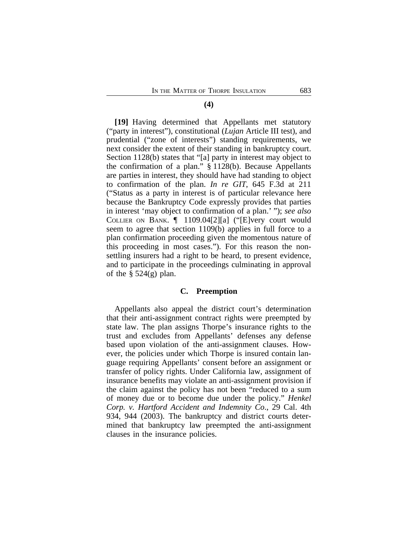#### **(4)**

**[19]** Having determined that Appellants met statutory ("party in interest"), constitutional (*Lujan* Article III test), and prudential ("zone of interests") standing requirements, we next consider the extent of their standing in bankruptcy court. Section 1128(b) states that "[a] party in interest may object to the confirmation of a plan." § 1128(b). Because Appellants are parties in interest, they should have had standing to object to confirmation of the plan. *In re GIT*, 645 F.3d at 211 ("Status as a party in interest is of particular relevance here because the Bankruptcy Code expressly provides that parties in interest 'may object to confirmation of a plan.' "); *see also* COLLIER ON BANK. ¶ 1109.04[2][a] ("[E]very court would seem to agree that section 1109(b) applies in full force to a plan confirmation proceeding given the momentous nature of this proceeding in most cases."). For this reason the nonsettling insurers had a right to be heard, to present evidence, and to participate in the proceedings culminating in approval of the  $\S$  524(g) plan.

#### **C. Preemption**

Appellants also appeal the district court's determination that their anti-assignment contract rights were preempted by state law. The plan assigns Thorpe's insurance rights to the trust and excludes from Appellants' defenses any defense based upon violation of the anti-assignment clauses. However, the policies under which Thorpe is insured contain language requiring Appellants' consent before an assignment or transfer of policy rights. Under California law, assignment of insurance benefits may violate an anti-assignment provision if the claim against the policy has not been "reduced to a sum of money due or to become due under the policy." *Henkel Corp. v. Hartford Accident and Indemnity Co*., 29 Cal. 4th 934, 944 (2003). The bankruptcy and district courts determined that bankruptcy law preempted the anti-assignment clauses in the insurance policies.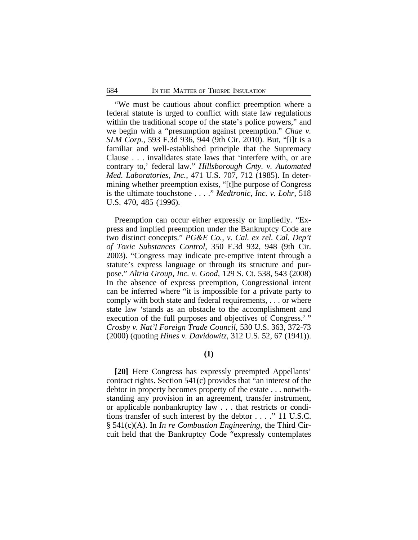"We must be cautious about conflict preemption where a federal statute is urged to conflict with state law regulations within the traditional scope of the state's police powers," and we begin with a "presumption against preemption." *Chae v. SLM Corp.*, 593 F.3d 936, 944 (9th Cir. 2010). But, "[i]t is a familiar and well-established principle that the Supremacy Clause . . . invalidates state laws that 'interfere with, or are contrary to,' federal law." *Hillsborough Cnty. v. Automated Med. Laboratories, Inc.*, 471 U.S. 707, 712 (1985). In determining whether preemption exists, "[t]he purpose of Congress is the ultimate touchstone . . . ." *Medtronic, Inc. v. Lohr*, 518 U.S. 470, 485 (1996).

Preemption can occur either expressly or impliedly. "Express and implied preemption under the Bankruptcy Code are two distinct concepts." *PG&E Co., v. Cal. ex rel. Cal. Dep't of Toxic Substances Control*, 350 F.3d 932, 948 (9th Cir. 2003). "Congress may indicate pre-emptive intent through a statute's express language or through its structure and purpose." *Altria Group, Inc. v. Good*, 129 S. Ct. 538, 543 (2008) In the absence of express preemption, Congressional intent can be inferred where "it is impossible for a private party to comply with both state and federal requirements, . . . or where state law 'stands as an obstacle to the accomplishment and execution of the full purposes and objectives of Congress.' " *Crosby v. Nat'l Foreign Trade Council*, 530 U.S. 363, 372-73 (2000) (quoting *Hines v. Davidowitz*, 312 U.S. 52, 67 (1941)).

**(1)**

**[20]** Here Congress has expressly preempted Appellants' contract rights. Section 541(c) provides that "an interest of the debtor in property becomes property of the estate . . . notwithstanding any provision in an agreement, transfer instrument, or applicable nonbankruptcy law . . . that restricts or conditions transfer of such interest by the debtor . . . ." 11 U.S.C. § 541(c)(A). In *In re Combustion Engineering*, the Third Circuit held that the Bankruptcy Code "expressly contemplates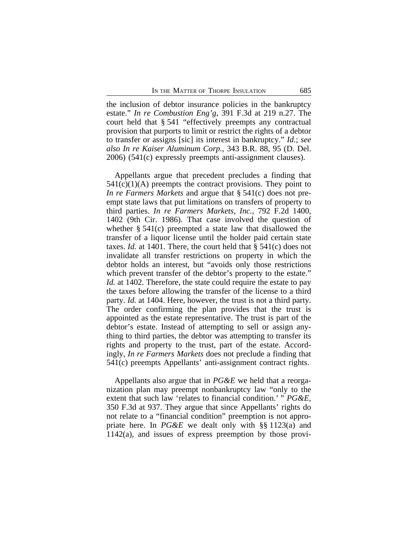the inclusion of debtor insurance policies in the bankruptcy estate." *In re Combustion Eng'g*, 391 F.3d at 219 n.27. The court held that § 541 "effectively preempts any contractual provision that purports to limit or restrict the rights of a debtor to transfer or assigns [sic] its interest in bankruptcy." *Id.*; *see also In re Kaiser Aluminum Corp.*, 343 B.R. 88, 95 (D. Del. 2006) (541(c) expressly preempts anti-assignment clauses).

Appellants argue that precedent precludes a finding that  $541(c)(1)(A)$  preempts the contract provisions. They point to *In re Farmers Markets* and argue that § 541(c) does not preempt state laws that put limitations on transfers of property to third parties. *In re Farmers Markets, Inc.*, 792 F.2d 1400, 1402 (9th Cir. 1986). That case involved the question of whether § 541(c) preempted a state law that disallowed the transfer of a liquor license until the holder paid certain state taxes. *Id.* at 1401. There, the court held that § 541(c) does not invalidate all transfer restrictions on property in which the debtor holds an interest, but "avoids only those restrictions which prevent transfer of the debtor's property to the estate." *Id.* at 1402. Therefore, the state could require the estate to pay the taxes before allowing the transfer of the license to a third party. *Id.* at 1404. Here, however, the trust is not a third party. The order confirming the plan provides that the trust is appointed as the estate representative. The trust is part of the debtor's estate. Instead of attempting to sell or assign anything to third parties, the debtor was attempting to transfer its rights and property to the trust, part of the estate. Accordingly, *In re Farmers Markets* does not preclude a finding that 541(c) preempts Appellants' anti-assignment contract rights.

Appellants also argue that in *PG&E* we held that a reorganization plan may preempt nonbankruptcy law "only to the extent that such law 'relates to financial condition.' " *PG&E,* 350 F.3d at 937. They argue that since Appellants' rights do not relate to a "financial condition" preemption is not appropriate here. In *PG&E* we dealt only with §§ 1123(a) and 1142(a), and issues of express preemption by those provi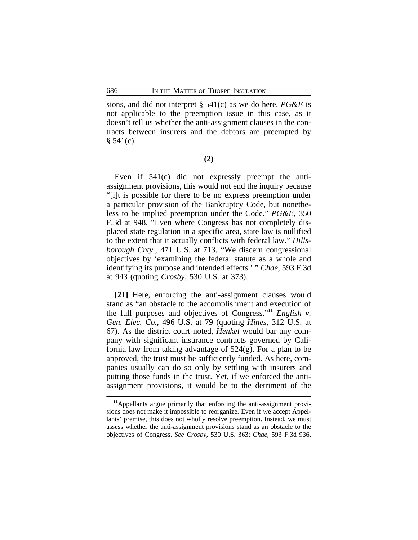sions, and did not interpret § 541(c) as we do here. *PG&E* is not applicable to the preemption issue in this case, as it doesn't tell us whether the anti-assignment clauses in the contracts between insurers and the debtors are preempted by  $§ 541(c).$ 

**(2)**

Even if 541(c) did not expressly preempt the antiassignment provisions, this would not end the inquiry because "[i]t is possible for there to be no express preemption under a particular provision of the Bankruptcy Code, but nonetheless to be implied preemption under the Code." *PG&E*, 350 F.3d at 948. "Even where Congress has not completely displaced state regulation in a specific area, state law is nullified to the extent that it actually conflicts with federal law." *Hillsborough Cnty.*, 471 U.S. at 713. "We discern congressional objectives by 'examining the federal statute as a whole and identifying its purpose and intended effects.' " *Chae,* 593 F.3d at 943 (quoting *Crosby*, 530 U.S. at 373).

**[21]** Here, enforcing the anti-assignment clauses would stand as "an obstacle to the accomplishment and execution of the full purposes and objectives of Congress." **<sup>11</sup>** *English v. Gen. Elec. Co.*, 496 U.S. at 79 (quoting *Hines*, 312 U.S. at 67). As the district court noted, *Henkel* would bar any company with significant insurance contracts governed by California law from taking advantage of 524(g). For a plan to be approved, the trust must be sufficiently funded. As here, companies usually can do so only by settling with insurers and putting those funds in the trust. Yet, if we enforced the antiassignment provisions, it would be to the detriment of the

**<sup>11</sup>**Appellants argue primarily that enforcing the anti-assignment provisions does not make it impossible to reorganize. Even if we accept Appellants' premise, this does not wholly resolve preemption. Instead, we must assess whether the anti-assignment provisions stand as an obstacle to the objectives of Congress. *See Crosby*, 530 U.S. 363; *Chae*, 593 F.3d 936.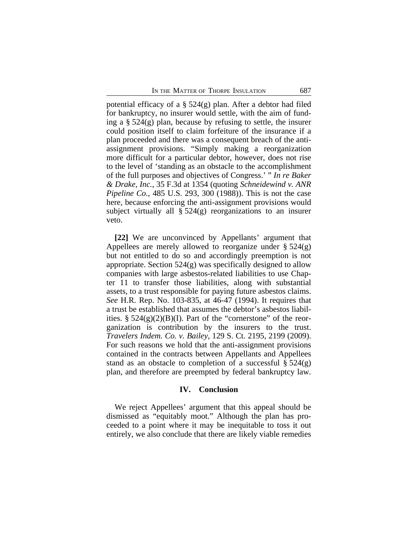potential efficacy of a  $\S$  524(g) plan. After a debtor had filed for bankruptcy, no insurer would settle, with the aim of funding a § 524(g) plan, because by refusing to settle, the insurer could position itself to claim forfeiture of the insurance if a plan proceeded and there was a consequent breach of the antiassignment provisions. "Simply making a reorganization more difficult for a particular debtor, however, does not rise to the level of 'standing as an obstacle to the accomplishment of the full purposes and objectives of Congress.' " *In re Baker & Drake, Inc.*, 35 F.3d at 1354 (quoting *Schneidewind v. ANR Pipeline Co.*, 485 U.S. 293, 300 (1988)). This is not the case here, because enforcing the anti-assignment provisions would subject virtually all § 524(g) reorganizations to an insurer veto.

**[22]** We are unconvinced by Appellants' argument that Appellees are merely allowed to reorganize under § 524(g) but not entitled to do so and accordingly preemption is not appropriate. Section 524(g) was specifically designed to allow companies with large asbestos-related liabilities to use Chapter 11 to transfer those liabilities, along with substantial assets, to a trust responsible for paying future asbestos claims. *See* H.R. Rep. No. 103-835, at 46-47 (1994). It requires that a trust be established that assumes the debtor's asbestos liabilities.  $\S 524(g)(2)(B)(I)$ . Part of the "cornerstone" of the reorganization is contribution by the insurers to the trust. *Travelers Indem. Co. v. Bailey*, 129 S. Ct. 2195, 2199 (2009). For such reasons we hold that the anti-assignment provisions contained in the contracts between Appellants and Appellees stand as an obstacle to completion of a successful  $\S 524(g)$ plan, and therefore are preempted by federal bankruptcy law.

## **IV. Conclusion**

We reject Appellees' argument that this appeal should be dismissed as "equitably moot." Although the plan has proceeded to a point where it may be inequitable to toss it out entirely, we also conclude that there are likely viable remedies